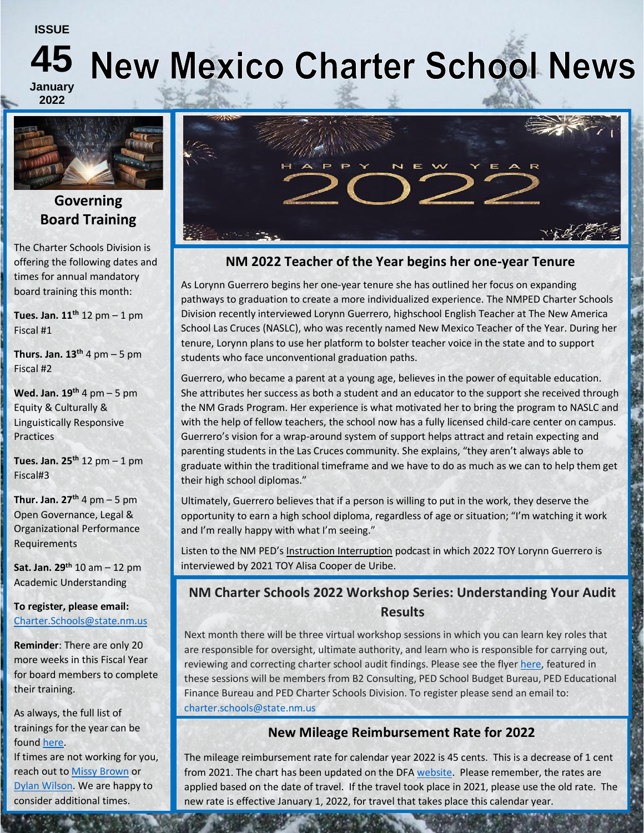#### **ISSUE**

# **45**

## **New Mexico Charter School News**

**January 2022**



### **Governing Board Training**

The Charter Schools Division is offering the following dates and times for annual mandatory board training this month:

**Tues. Jan. 11th** 12 pm – 1 pm Fiscal #1

**Thurs. Jan.**  $13<sup>th</sup>$  **4 pm – 5 pm** Fiscal #2

**Wed. Jan. 19th** 4 pm – 5 pm Equity & Culturally & Linguistically Responsive **Practices** 

**Tues. Jan. 25th** 12 pm – 1 pm Fiscal#3

**Thur. Jan. 27th** 4 pm – 5 pm Open Governance, Legal & Organizational Performance Requirements

**Sat. Jan. 29th** 10 am – 12 pm Academic Understanding

**To register, please email:**  [Charter.Schools@state.nm.us](mailto:Charter.Schools@state.nm.us)

**Reminder**: There are only 20 more weeks in this Fiscal Year for board members to complete their training.

As always, the full list of trainings for the year can be found [here.](https://webnew.ped.state.nm.us/bureaus/options-parents-families/charter-schools/trainings-offered/) If times are not working for you, reach out to [Missy Brown](mailto:Melissa.Brown@state.nm.us) or [Dylan Wilson.](mailto:dylan.wilson@state.nm.us) We are happy to consider additional times.



#### **NM 2022 Teacher of the Year begins her one-year Tenure**

As Lorynn Guerrero begins her one-year tenure she has outlined her focus on expanding pathways to graduation to create a more individualized experience. The NMPED Charter Schools Division recently interviewed Lorynn Guerrero, highschool English Teacher at The New America School Las Cruces (NASLC), who was recently named New Mexico Teacher of the Year. During her tenure, Lorynn plans to use her platform to bolster teacher voice in the state and to support students who face unconventional graduation paths.

Guerrero, who became a parent at a young age, believes in the power of equitable education. She attributes her success as both a student and an educator to the support she received through the NM Grads Program. Her experience is what motivated her to bring the program to NASLC and with the help of fellow teachers, the school now has a fully licensed child-care center on campus. Guerrero's vision for a wrap-around system of support helps attract and retain expecting and parenting students in the Las Cruces community. She explains, "they aren't always able to graduate within the traditional timeframe and we have to do as much as we can to help them get their high school diplomas."

Ultimately, Guerrero believes that if a person is willing to put in the work, they deserve the opportunity to earn a high school diploma, regardless of age or situation; "I'm watching it work and I'm really happy with what I'm seeing."

Listen to the NM PED's [Instruction Interruption](https://instructioninterruption.transistor.fm/) podcast in which 2022 TOY Lorynn Guerrero is interviewed by 2021 TOY Alisa Cooper de Uribe.

#### **NM Charter Schools 2022 Workshop Series: Understanding Your Audit Results**

Next month there will be three virtual workshop sessions in which you can learn key roles that are responsible for oversight, ultimate authority, and learn who is responsible for carrying out, reviewing and correcting charter school audit findings. Please see the flye[r here,](../../../NM%20Charter%20Schools%202022%20Workshop%20Series.pdf) featured in these sessions will be members from B2 Consulting, PED School Budget Bureau, PED Educational Finance Bureau and PED Charter Schools Division. To register please send an email to: [charter.schools@state.nm.us](mailto:charter.schools@state.nm.us)

#### **New Mileage Reimbursement Rate for 2022**

The mileage reimbursement rate for calendar year 2022 is 45 cents. This is a decrease of 1 cent from 2021. The chart has been updated on the DF[A website.](https://realfile60151d4795ce4d11abc799080b50384f.s3.amazonaws.com/564b6269-0f7e-43a9-9132-a31ec8c5f9d2?AWSAccessKeyId=AKIAJBKPT2UF7EZ6B7YA&Expires=1641487866&Signature=SP5eXRLJcKKeVZW%2BjCT7pPcY0HY%3D&response-content-disposition=inline%3B%20filename%3D%22Mileage%20Rate%20Calendar%20Year%202022.pdf%22&response-content-type=application%2Fpdf) Please remember, the rates are applied based on the date of travel. If the travel took place in 2021, please use the old rate. The new rate is effective January 1, 2022, for travel that takes place this calendar year.